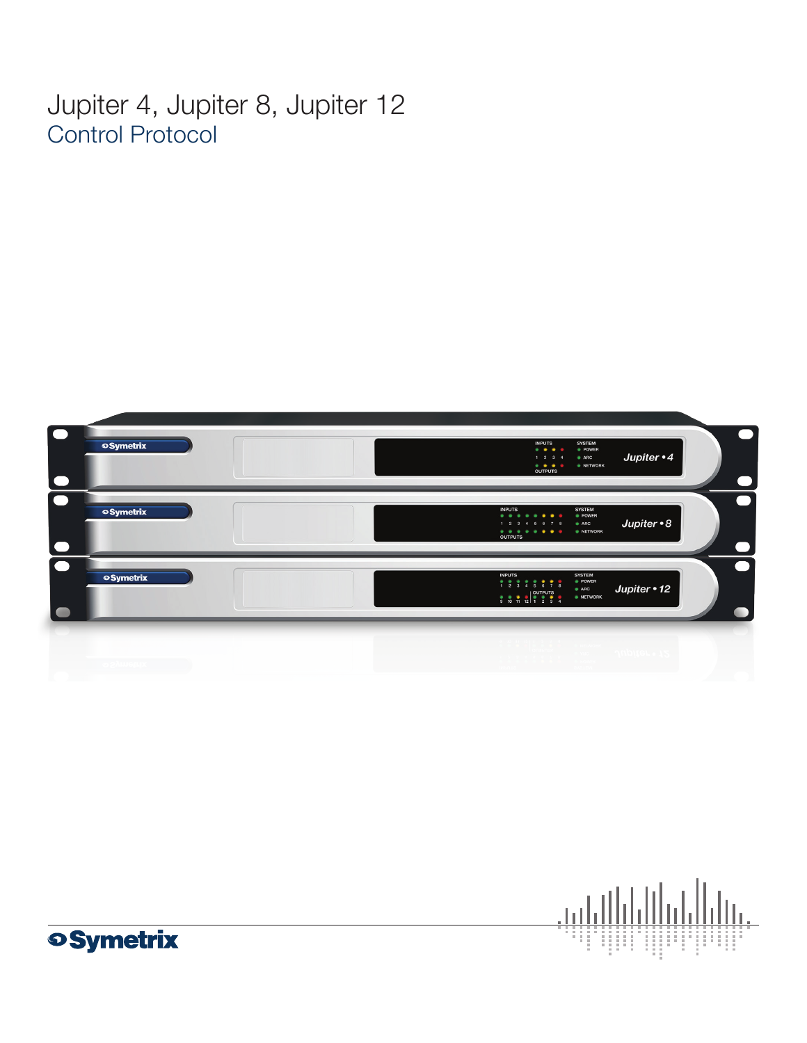Jupiter 4, Jupiter 8, Jupiter 12 Control Protocol





**oSymetrix**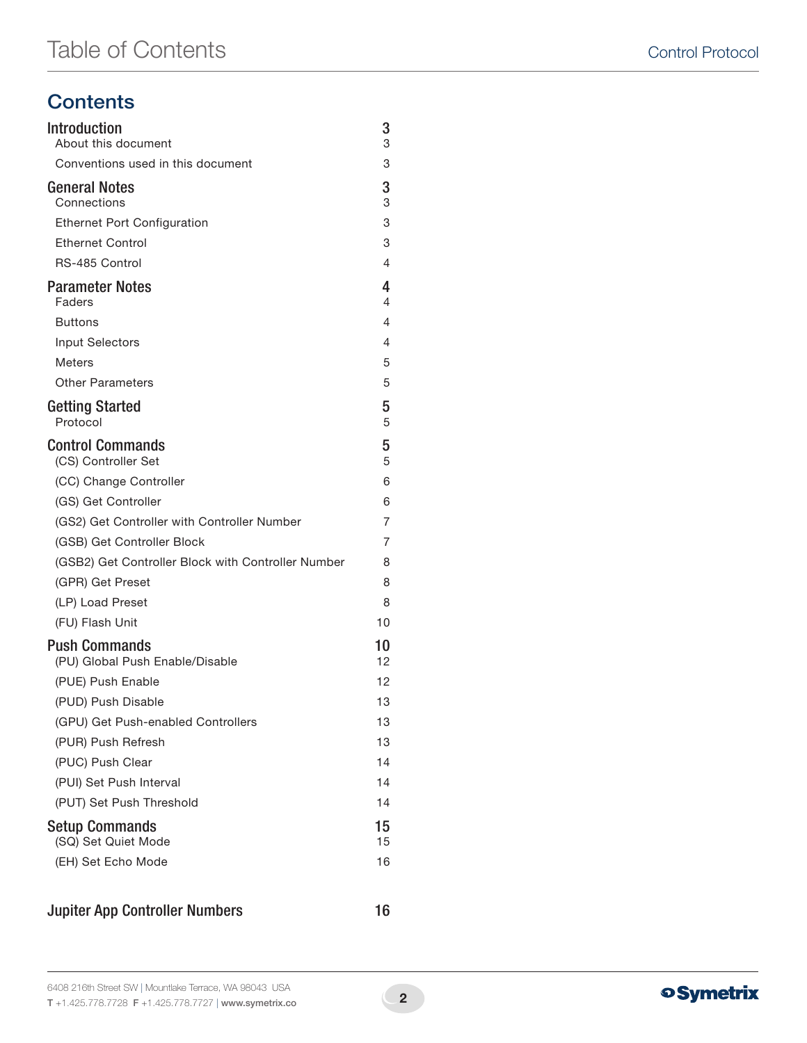# **Contents**

| <b>Introduction</b><br>About this document              | 3<br>3   |
|---------------------------------------------------------|----------|
| Conventions used in this document                       | 3        |
| <b>General Notes</b><br>Connections                     | 3<br>3   |
| <b>Ethernet Port Configuration</b>                      | 3        |
| <b>Ethernet Control</b>                                 | 3        |
| RS-485 Control                                          | 4        |
| <b>Parameter Notes</b><br>Faders                        | 4<br>4   |
| <b>Buttons</b>                                          | 4        |
| <b>Input Selectors</b>                                  | 4        |
| <b>Meters</b>                                           | 5        |
| <b>Other Parameters</b>                                 | 5        |
| <b>Getting Started</b><br>Protocol                      | 5<br>5   |
| <b>Control Commands</b><br>(CS) Controller Set          | 5<br>5   |
| (CC) Change Controller                                  | 6        |
| (GS) Get Controller                                     | 6        |
| (GS2) Get Controller with Controller Number             | 7        |
| (GSB) Get Controller Block                              | 7        |
| (GSB2) Get Controller Block with Controller Number      | 8        |
| (GPR) Get Preset                                        | 8        |
| (LP) Load Preset                                        | 8        |
| (FU) Flash Unit                                         | 10       |
| <b>Push Commands</b><br>(PU) Global Push Enable/Disable | 10<br>12 |
| (PUE) Push Enable                                       | 12       |
| (PUD) Push Disable                                      | 13       |
| (GPU) Get Push-enabled Controllers                      | 13       |
| (PUR) Push Refresh                                      | 13       |
| (PUC) Push Clear                                        | 14       |
| (PUI) Set Push Interval                                 | 14       |
| (PUT) Set Push Threshold                                | 14       |
| <b>Setup Commands</b><br>(SQ) Set Quiet Mode            | 15<br>15 |
| (EH) Set Echo Mode                                      | 16       |
|                                                         |          |

### Jupiter App Controller Numbers 16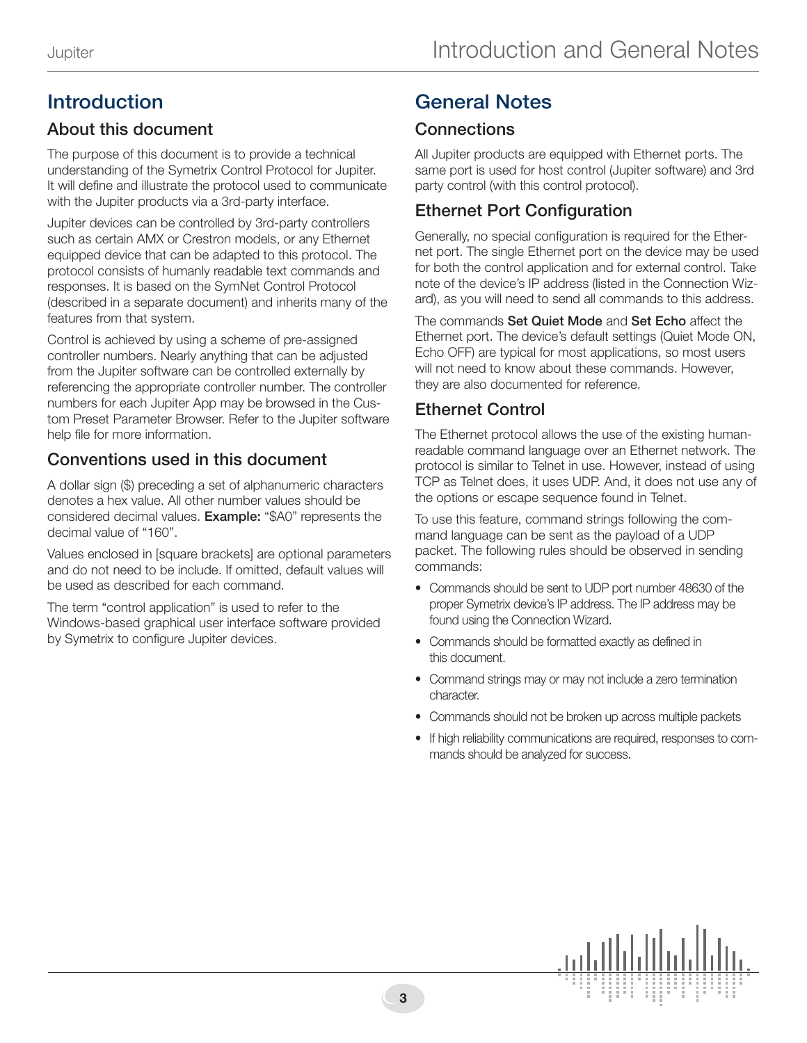# Introduction

# About this document

The purpose of this document is to provide a technical understanding of the Symetrix Control Protocol for Jupiter. It will define and illustrate the protocol used to communicate with the Jupiter products via a 3rd-party interface.

Jupiter devices can be controlled by 3rd-party controllers such as certain AMX or Crestron models, or any Ethernet equipped device that can be adapted to this protocol. The protocol consists of humanly readable text commands and responses. It is based on the SymNet Control Protocol (described in a separate document) and inherits many of the features from that system.

Control is achieved by using a scheme of pre-assigned controller numbers. Nearly anything that can be adjusted from the Jupiter software can be controlled externally by referencing the appropriate controller number. The controller numbers for each Jupiter App may be browsed in the Custom Preset Parameter Browser. Refer to the Jupiter software help file for more information.

# Conventions used in this document

A dollar sign (\$) preceding a set of alphanumeric characters denotes a hex value. All other number values should be considered decimal values. Example: "\$A0" represents the decimal value of "160".

Values enclosed in [square brackets] are optional parameters and do not need to be include. If omitted, default values will be used as described for each command.

The term "control application" is used to refer to the Windows-based graphical user interface software provided by Symetrix to configure Jupiter devices.

# General Notes

## **Connections**

All Jupiter products are equipped with Ethernet ports. The same port is used for host control (Jupiter software) and 3rd party control (with this control protocol).

# Ethernet Port Configuration

Generally, no special configuration is required for the Ethernet port. The single Ethernet port on the device may be used for both the control application and for external control. Take note of the device's IP address (listed in the Connection Wizard), as you will need to send all commands to this address.

The commands Set Quiet Mode and Set Echo affect the Ethernet port. The device's default settings (Quiet Mode ON, Echo OFF) are typical for most applications, so most users will not need to know about these commands. However, they are also documented for reference.

# Ethernet Control

The Ethernet protocol allows the use of the existing humanreadable command language over an Ethernet network. The protocol is similar to Telnet in use. However, instead of using TCP as Telnet does, it uses UDP. And, it does not use any of the options or escape sequence found in Telnet.

To use this feature, command strings following the command language can be sent as the payload of a UDP packet. The following rules should be observed in sending commands:

- Commands should be sent to UDP port number 48630 of the proper Symetrix device's IP address. The IP address may be found using the Connection Wizard.
- Commands should be formatted exactly as defined in this document.
- Command strings may or may not include a zero termination character.
- Commands should not be broken up across multiple packets
- If high reliability communications are required, responses to commands should be analyzed for success.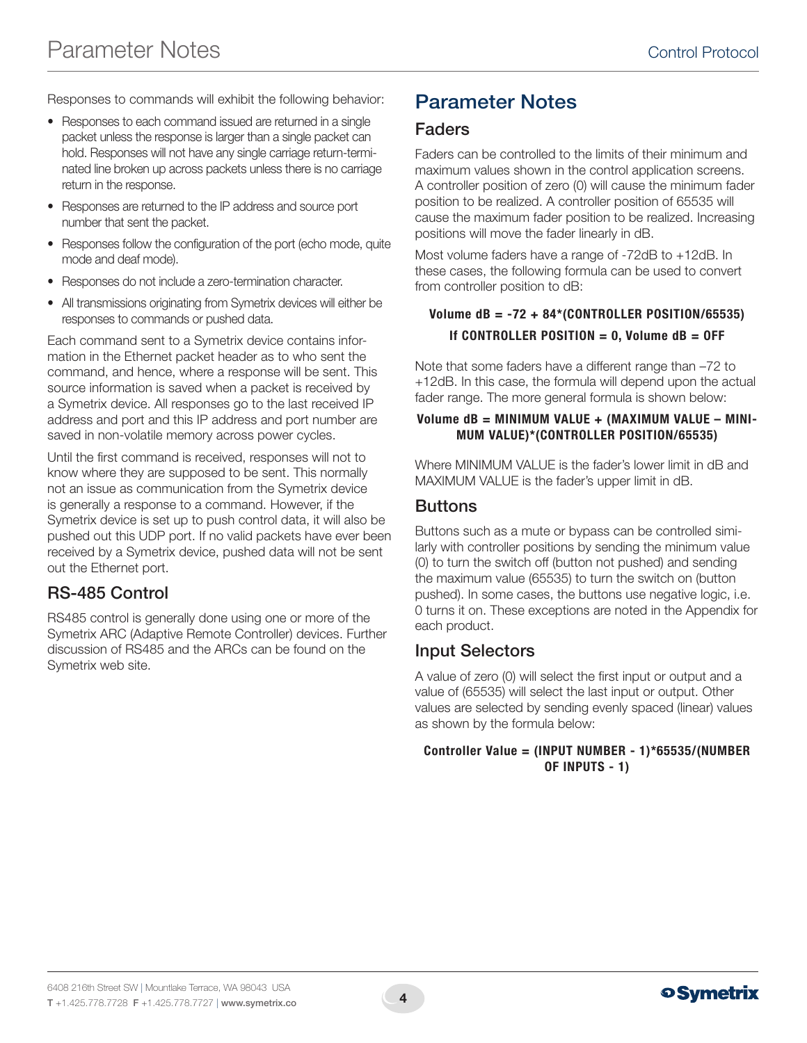Responses to commands will exhibit the following behavior:

- Responses to each command issued are returned in a single packet unless the response is larger than a single packet can hold. Responses will not have any single carriage return-terminated line broken up across packets unless there is no carriage return in the response.
- Responses are returned to the IP address and source port number that sent the packet.
- Responses follow the configuration of the port (echo mode, quite mode and deaf mode).
- Responses do not include a zero-termination character.
- All transmissions originating from Symetrix devices will either be responses to commands or pushed data.

Each command sent to a Symetrix device contains information in the Ethernet packet header as to who sent the command, and hence, where a response will be sent. This source information is saved when a packet is received by a Symetrix device. All responses go to the last received IP address and port and this IP address and port number are saved in non-volatile memory across power cycles.

Until the first command is received, responses will not to know where they are supposed to be sent. This normally not an issue as communication from the Symetrix device is generally a response to a command. However, if the Symetrix device is set up to push control data, it will also be pushed out this UDP port. If no valid packets have ever been received by a Symetrix device, pushed data will not be sent out the Ethernet port.

# RS-485 Control

RS485 control is generally done using one or more of the Symetrix ARC (Adaptive Remote Controller) devices. Further discussion of RS485 and the ARCs can be found on the Symetrix web site.

# Parameter Notes

### Faders

Faders can be controlled to the limits of their minimum and maximum values shown in the control application screens. A controller position of zero (0) will cause the minimum fader position to be realized. A controller position of 65535 will cause the maximum fader position to be realized. Increasing positions will move the fader linearly in dB.

Most volume faders have a range of -72dB to +12dB. In these cases, the following formula can be used to convert from controller position to dB:

### Volume dB = -72 + 84\*(CONTROLLER POSITION/65535) If CONTROLLER POSITION  $= 0$ , Volume dB  $=$  OFF

Note that some faders have a different range than –72 to +12dB. In this case, the formula will depend upon the actual fader range. The more general formula is shown below:

#### Volume dB = MINIMUM VALUE + (MAXIMUM VALUE – MINI-MUM VALUE)\*(CONTROLLER POSITION/65535)

Where MINIMUM VALUE is the fader's lower limit in dB and MAXIMUM VALUE is the fader's upper limit in dB.

### **Buttons**

Buttons such as a mute or bypass can be controlled similarly with controller positions by sending the minimum value (0) to turn the switch off (button not pushed) and sending the maximum value (65535) to turn the switch on (button pushed). In some cases, the buttons use negative logic, i.e. 0 turns it on. These exceptions are noted in the Appendix for each product.

### Input Selectors

A value of zero (0) will select the first input or output and a value of (65535) will select the last input or output. Other values are selected by sending evenly spaced (linear) values as shown by the formula below:

#### Controller Value = (INPUT NUMBER - 1)\*65535/(NUMBER OF INPUTS - 1)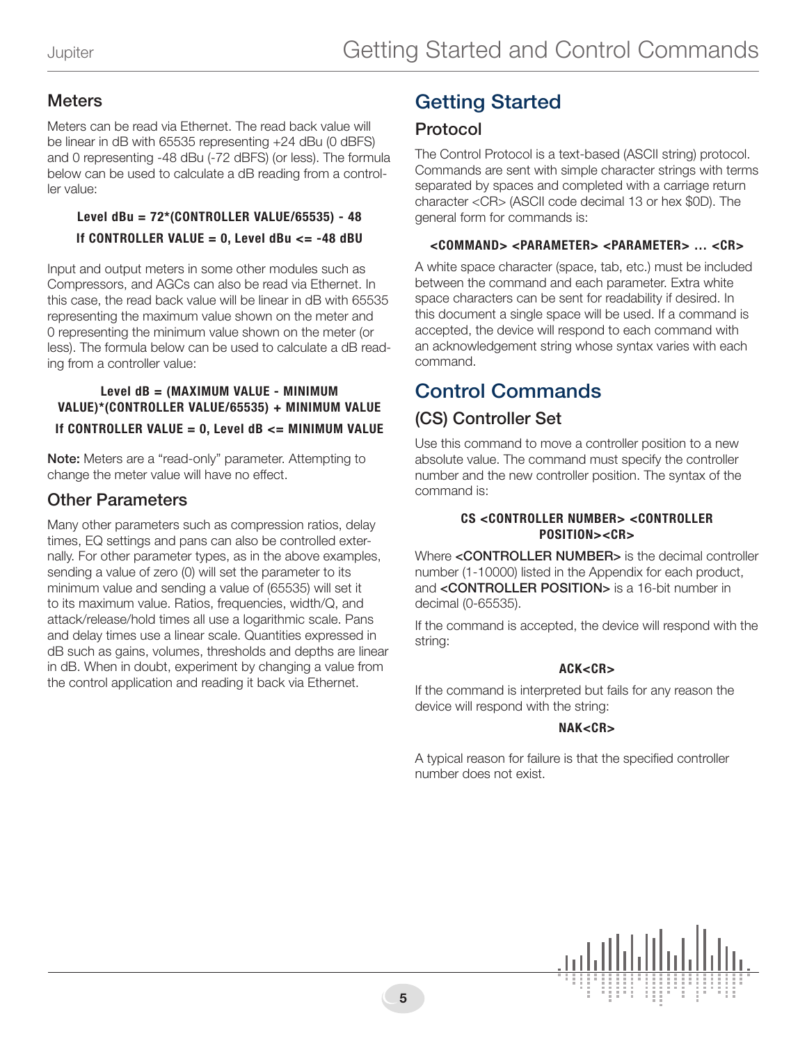### **Meters**

Meters can be read via Ethernet. The read back value will be linear in dB with 65535 representing +24 dBu (0 dBFS) and 0 representing -48 dBu (-72 dBFS) (or less). The formula below can be used to calculate a dB reading from a controller value:

### Level dBu = 72\*(CONTROLLER VALUE/65535) - 48 If CONTROLLER VALUE =  $0$ , Level dBu <= -48 dBU

Input and output meters in some other modules such as Compressors, and AGCs can also be read via Ethernet. In this case, the read back value will be linear in dB with 65535 representing the maximum value shown on the meter and 0 representing the minimum value shown on the meter (or less). The formula below can be used to calculate a dB reading from a controller value:

#### Level dB = (MAXIMUM VALUE - MINIMUM VALUE)\*(CONTROLLER VALUE/65535) + MINIMUM VALUE If CONTROLLER VALUE =  $0$ , Level dB <= MINIMUM VALUE

Note: Meters are a "read-only" parameter. Attempting to change the meter value will have no effect.

### Other Parameters

Many other parameters such as compression ratios, delay times, EQ settings and pans can also be controlled externally. For other parameter types, as in the above examples, sending a value of zero (0) will set the parameter to its minimum value and sending a value of (65535) will set it to its maximum value. Ratios, frequencies, width/Q, and attack/release/hold times all use a logarithmic scale. Pans and delay times use a linear scale. Quantities expressed in dB such as gains, volumes, thresholds and depths are linear in dB. When in doubt, experiment by changing a value from the control application and reading it back via Ethernet.

# Getting Started

### Protocol

The Control Protocol is a text-based (ASCII string) protocol. Commands are sent with simple character strings with terms separated by spaces and completed with a carriage return character <CR> (ASCII code decimal 13 or hex \$0D). The general form for commands is:

#### <COMMAND> <PARAMETER> <PARAMETER> … <CR>

A white space character (space, tab, etc.) must be included between the command and each parameter. Extra white space characters can be sent for readability if desired. In this document a single space will be used. If a command is accepted, the device will respond to each command with an acknowledgement string whose syntax varies with each command.

# Control Commands

# (CS) Controller Set

Use this command to move a controller position to a new absolute value. The command must specify the controller number and the new controller position. The syntax of the command is:

#### CS <CONTROLLER NUMBER> <CONTROLLER POSITION><CR>

Where <CONTROLLER NUMBER> is the decimal controller number (1-10000) listed in the Appendix for each product, and <CONTROLLER POSITION> is a 16-bit number in decimal (0-65535).

If the command is accepted, the device will respond with the string:

#### ACK<CR>

If the command is interpreted but fails for any reason the device will respond with the string:

#### NAK<CR>

A typical reason for failure is that the specified controller number does not exist.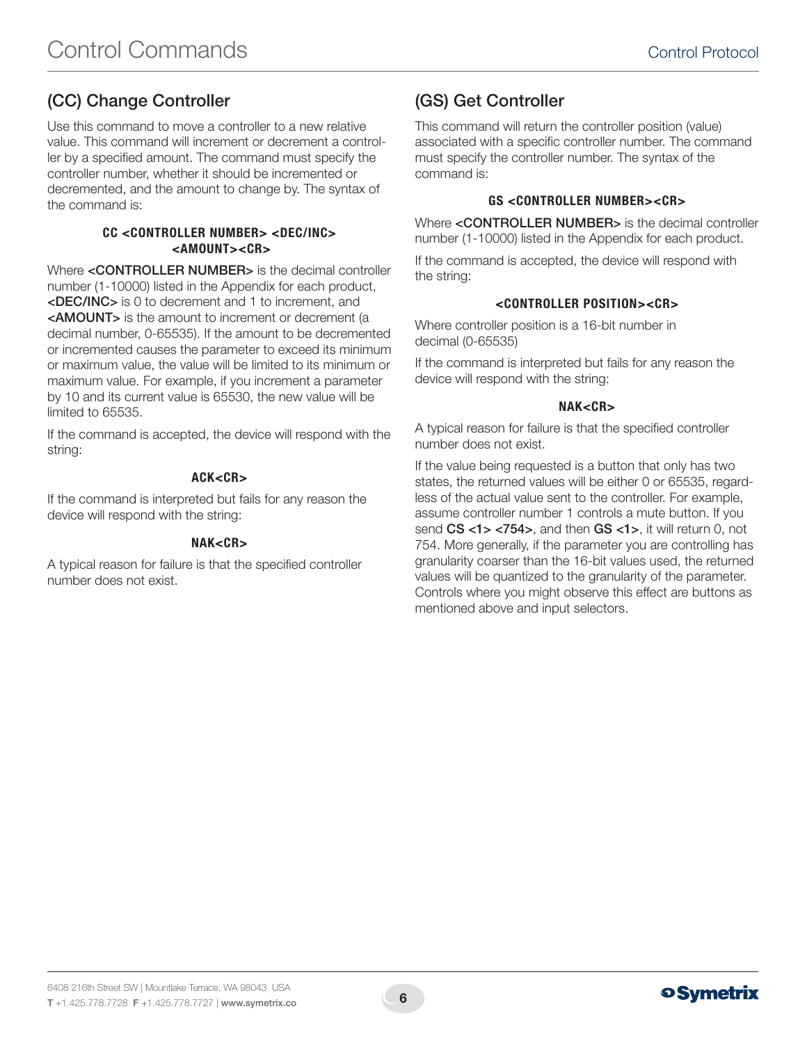# (CC) Change Controller

Use this command to move a controller to a new relative value. This command will increment or decrement a controller by a specified amount. The command must specify the controller number, whether it should be incremented or decremented, and the amount to change by. The syntax of the command is:

#### CC <CONTROLLER NUMBER> <DEC/INC> <AMOUNT><CR>

Where <CONTROLLER NUMBER> is the decimal controller number (1-10000) listed in the Appendix for each product, <DEC/INC> is 0 to decrement and 1 to increment, and <AMOUNT> is the amount to increment or decrement (a decimal number, 0-65535). If the amount to be decremented or incremented causes the parameter to exceed its minimum or maximum value, the value will be limited to its minimum or maximum value. For example, if you increment a parameter by 10 and its current value is 65530, the new value will be limited to 65535.

If the command is accepted, the device will respond with the string:

#### ACK<CR>

If the command is interpreted but fails for any reason the device will respond with the string:

#### NAK<CR>

A typical reason for failure is that the specified controller number does not exist.

## (GS) Get Controller

This command will return the controller position (value) associated with a specific controller number. The command must specify the controller number. The syntax of the command is:

#### GS <CONTROLLER NUMBER><CR>

Where <CONTROLLER NUMBER> is the decimal controller number (1-10000) listed in the Appendix for each product.

If the command is accepted, the device will respond with the string:

#### <CONTROLLER POSITION><CR>

Where controller position is a 16-bit number in decimal (0-65535)

If the command is interpreted but fails for any reason the device will respond with the string:

#### NAK<CR>

A typical reason for failure is that the specified controller number does not exist.

If the value being requested is a button that only has two states, the returned values will be either 0 or 65535, regardless of the actual value sent to the controller. For example, assume controller number 1 controls a mute button. If you send CS <1> <754>, and then GS <1>, it will return 0, not 754. More generally, if the parameter you are controlling has granularity coarser than the 16-bit values used, the returned values will be quantized to the granularity of the parameter. Controls where you might observe this effect are buttons as mentioned above and input selectors.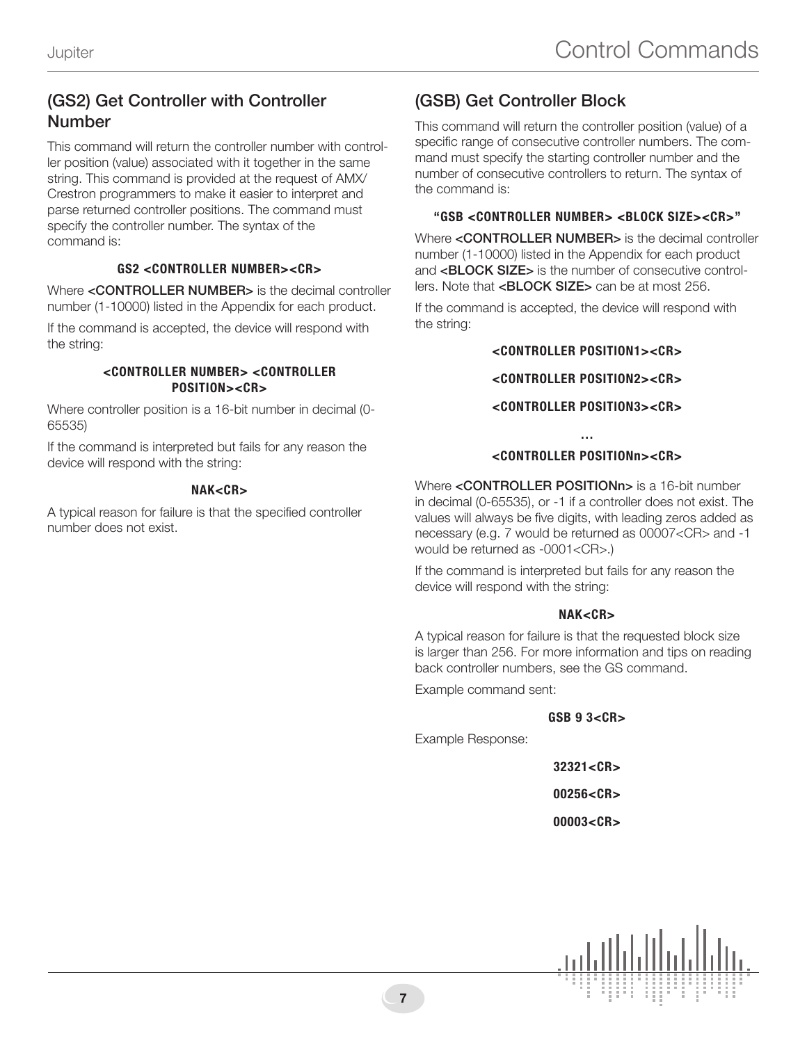### (GS2) Get Controller with Controller Number

This command will return the controller number with controller position (value) associated with it together in the same string. This command is provided at the request of AMX/ Crestron programmers to make it easier to interpret and parse returned controller positions. The command must specify the controller number. The syntax of the command is:

#### GS2 <CONTROLLER NUMBER><CR>

Where <CONTROLLER NUMBER> is the decimal controller number (1-10000) listed in the Appendix for each product.

If the command is accepted, the device will respond with the string:

#### <CONTROLLER NUMBER> <CONTROLLER POSITION><CR>

Where controller position is a 16-bit number in decimal (0- 65535)

If the command is interpreted but fails for any reason the device will respond with the string:

#### NAK<CR>

A typical reason for failure is that the specified controller number does not exist.

# (GSB) Get Controller Block

This command will return the controller position (value) of a specific range of consecutive controller numbers. The command must specify the starting controller number and the number of consecutive controllers to return. The syntax of the command is:

#### "GSB <CONTROLLER NUMBER> <BLOCK SIZE><CR>"

Where <CONTROLLER NUMBER> is the decimal controller number (1-10000) listed in the Appendix for each product and <**BLOCK SIZE>** is the number of consecutive controllers. Note that <BLOCK SIZE> can be at most 256.

If the command is accepted, the device will respond with the string:

#### <CONTROLLER POSITION1><CR>

<CONTROLLER POSITION2><CR>

#### <CONTROLLER POSITION3><CR>

#### … <CONTROLLER POSITIONn><CR>

Where <CONTROLLER POSITIONn> is a 16-bit number in decimal (0-65535), or -1 if a controller does not exist. The values will always be five digits, with leading zeros added as necessary (e.g. 7 would be returned as 00007<CR> and -1 would be returned as -0001<CR>.)

If the command is interpreted but fails for any reason the device will respond with the string:

#### NAK<CR>

A typical reason for failure is that the requested block size is larger than 256. For more information and tips on reading back controller numbers, see the GS command.

Example command sent:

#### GSB 9 3<CR>

Example Response:

 $32321 <$ CR $>$ 

00256<CR>

00003<CR>

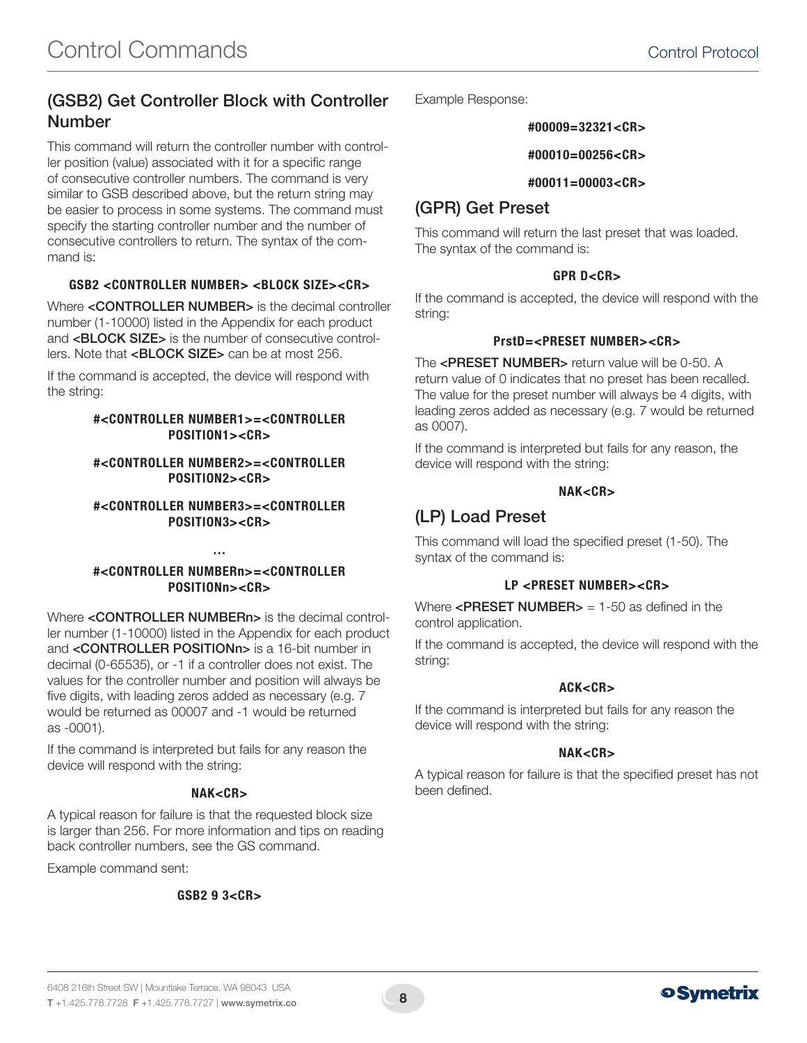### (GSB2) Get Controller Block with Controller Number

This command will return the controller number with controller position (value) associated with it for a specific range of consecutive controller numbers. The command is very similar to GSB described above, but the return string may be easier to process in some systems. The command must specify the starting controller number and the number of consecutive controllers to return. The syntax of the command is:

#### GSB2 <CONTROLLER NUMBER> <BLOCK SIZE><CR>

Where <CONTROLLER NUMBER> is the decimal controller number (1-10000) listed in the Appendix for each product and <BLOCK SIZE> is the number of consecutive controllers. Note that <**BLOCK SIZE>** can be at most 256.

If the command is accepted, the device will respond with the string:

#### #<CONTROLLER NUMBER1>=<CONTROLLER POSITION1><CR>

#### #<CONTROLLER NUMBER2>=<CONTROLLER POSITION2><CR>

#<CONTROLLER NUMBER3>=<CONTROLLER POSITION3><CR>

#### #<CONTROLLER NUMBERn>=<CONTROLLER POSITIONn><CR>

…

Where <CONTROLLER NUMBERn> is the decimal controller number (1-10000) listed in the Appendix for each product and <CONTROLLER POSITIONn> is a 16-bit number in decimal (0-65535), or -1 if a controller does not exist. The values for the controller number and position will always be five digits, with leading zeros added as necessary (e.g. 7 would be returned as 00007 and -1 would be returned as -0001).

If the command is interpreted but fails for any reason the device will respond with the string:

#### NAK<CR>

A typical reason for failure is that the requested block size is larger than 256. For more information and tips on reading back controller numbers, see the GS command.

Example command sent:

#### GSB2 9 3<CR>

Example Response:

#### #00009=32321<CR>

#### #00010=00256<CR>

#### #00011=00003<CR>

### (GPR) Get Preset

This command will return the last preset that was loaded. The syntax of the command is:

#### GPR D<CR>

If the command is accepted, the device will respond with the string:

#### PrstD=<PRESET NUMBER><CR>

The <PRESET NUMBER> return value will be 0-50. A return value of 0 indicates that no preset has been recalled. The value for the preset number will always be 4 digits, with leading zeros added as necessary (e.g. 7 would be returned as 0007).

If the command is interpreted but fails for any reason, the device will respond with the string:

#### NAK<CR>

### (LP) Load Preset

This command will load the specified preset (1-50). The syntax of the command is:

#### LP <PRESET NUMBER><CR>

Where  $\leq$ PRESET NUMBER $>$  = 1-50 as defined in the control application.

If the command is accepted, the device will respond with the string:

#### ACK<CR>

If the command is interpreted but fails for any reason the device will respond with the string:

#### NAK<CR>

A typical reason for failure is that the specified preset has not been defined.



8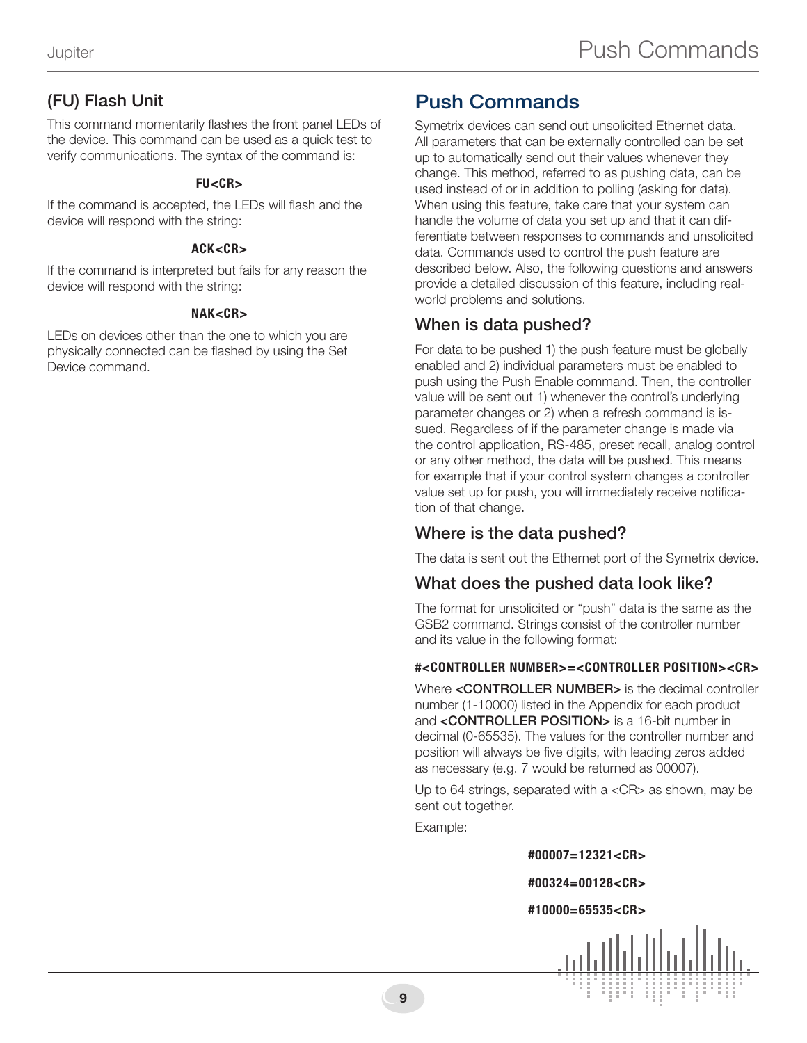# (FU) Flash Unit

This command momentarily flashes the front panel LEDs of the device. This command can be used as a quick test to verify communications. The syntax of the command is:

#### $FIL < C.R$

If the command is accepted, the LEDs will flash and the device will respond with the string:

#### ACK<CR>

If the command is interpreted but fails for any reason the device will respond with the string:

#### NAK<CR>

LEDs on devices other than the one to which you are physically connected can be flashed by using the Set Device command.

# Push Commands

Symetrix devices can send out unsolicited Ethernet data. All parameters that can be externally controlled can be set up to automatically send out their values whenever they change. This method, referred to as pushing data, can be used instead of or in addition to polling (asking for data). When using this feature, take care that your system can handle the volume of data you set up and that it can differentiate between responses to commands and unsolicited data. Commands used to control the push feature are described below. Also, the following questions and answers provide a detailed discussion of this feature, including realworld problems and solutions.

### When is data pushed?

For data to be pushed 1) the push feature must be globally enabled and 2) individual parameters must be enabled to push using the Push Enable command. Then, the controller value will be sent out 1) whenever the control's underlying parameter changes or 2) when a refresh command is issued. Regardless of if the parameter change is made via the control application, RS-485, preset recall, analog control or any other method, the data will be pushed. This means for example that if your control system changes a controller value set up for push, you will immediately receive notification of that change.

### Where is the data pushed?

The data is sent out the Ethernet port of the Symetrix device.

### What does the pushed data look like?

The format for unsolicited or "push" data is the same as the GSB2 command. Strings consist of the controller number and its value in the following format:

#### #<CONTROLLER NUMBER>=<CONTROLLER POSITION><CR>

Where <CONTROLLER NUMBER> is the decimal controller number (1-10000) listed in the Appendix for each product and **<CONTROLLER POSITION>** is a 16-bit number in decimal (0-65535). The values for the controller number and position will always be five digits, with leading zeros added as necessary (e.g. 7 would be returned as 00007).

Up to 64 strings, separated with a <CR> as shown, may be sent out together.

Example:

#00007=12321<CR>

#### #00324=00128<CR>

#### #10000=65535<CR>

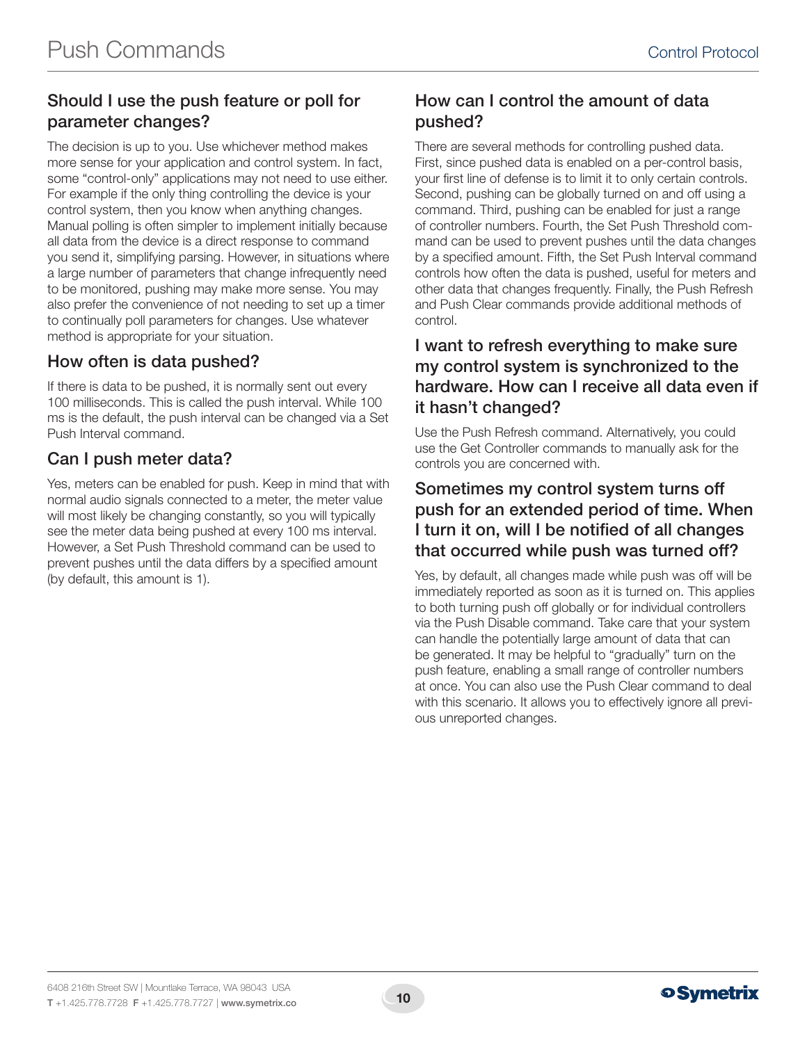# Should I use the push feature or poll for parameter changes?

The decision is up to you. Use whichever method makes more sense for your application and control system. In fact, some "control-only" applications may not need to use either. For example if the only thing controlling the device is your control system, then you know when anything changes. Manual polling is often simpler to implement initially because all data from the device is a direct response to command you send it, simplifying parsing. However, in situations where a large number of parameters that change infrequently need to be monitored, pushing may make more sense. You may also prefer the convenience of not needing to set up a timer to continually poll parameters for changes. Use whatever method is appropriate for your situation.

### How often is data pushed?

If there is data to be pushed, it is normally sent out every 100 milliseconds. This is called the push interval. While 100 ms is the default, the push interval can be changed via a Set Push Interval command.

# Can I push meter data?

Yes, meters can be enabled for push. Keep in mind that with normal audio signals connected to a meter, the meter value will most likely be changing constantly, so you will typically see the meter data being pushed at every 100 ms interval. However, a Set Push Threshold command can be used to prevent pushes until the data differs by a specified amount (by default, this amount is 1).

### How can I control the amount of data pushed?

There are several methods for controlling pushed data. First, since pushed data is enabled on a per-control basis, your first line of defense is to limit it to only certain controls. Second, pushing can be globally turned on and off using a command. Third, pushing can be enabled for just a range of controller numbers. Fourth, the Set Push Threshold command can be used to prevent pushes until the data changes by a specified amount. Fifth, the Set Push Interval command controls how often the data is pushed, useful for meters and other data that changes frequently. Finally, the Push Refresh and Push Clear commands provide additional methods of control.

### I want to refresh everything to make sure my control system is synchronized to the hardware. How can I receive all data even if it hasn't changed?

Use the Push Refresh command. Alternatively, you could use the Get Controller commands to manually ask for the controls you are concerned with.

### Sometimes my control system turns off push for an extended period of time. When I turn it on, will I be notified of all changes that occurred while push was turned off?

Yes, by default, all changes made while push was off will be immediately reported as soon as it is turned on. This applies to both turning push off globally or for individual controllers via the Push Disable command. Take care that your system can handle the potentially large amount of data that can be generated. It may be helpful to "gradually" turn on the push feature, enabling a small range of controller numbers at once. You can also use the Push Clear command to deal with this scenario. It allows you to effectively ignore all previous unreported changes.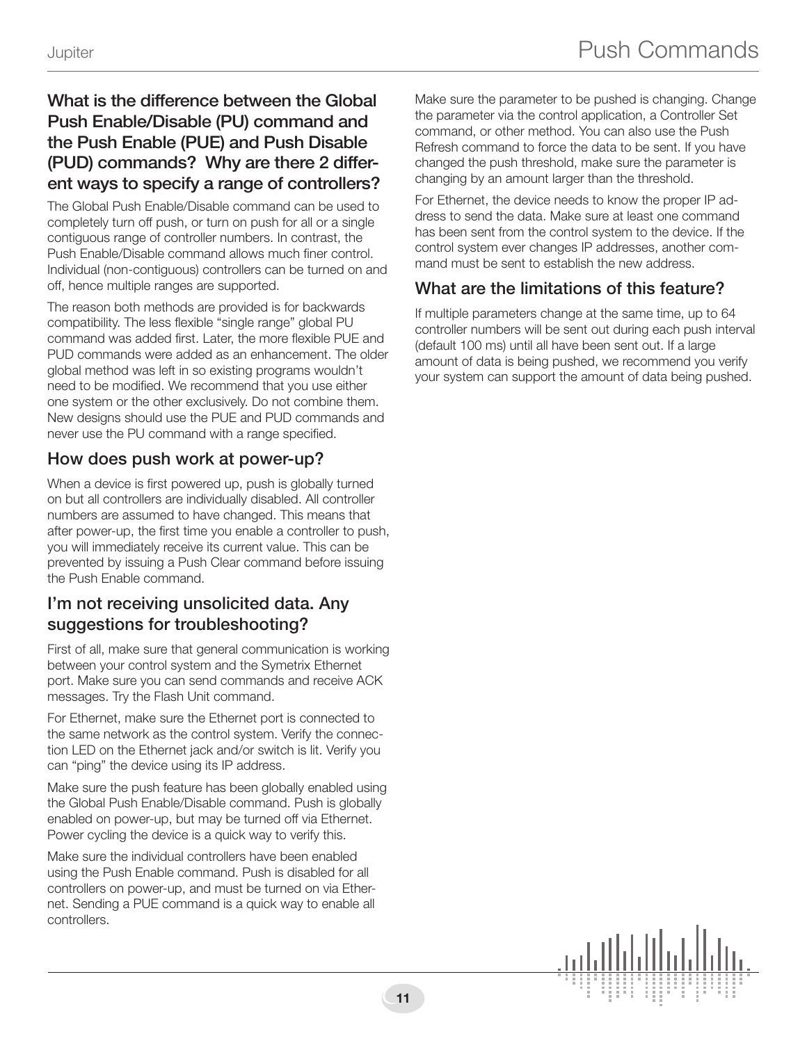## What is the difference between the Global Push Enable/Disable (PU) command and the Push Enable (PUE) and Push Disable (PUD) commands? Why are there 2 different ways to specify a range of controllers?

The Global Push Enable/Disable command can be used to completely turn off push, or turn on push for all or a single contiguous range of controller numbers. In contrast, the Push Enable/Disable command allows much finer control. Individual (non-contiguous) controllers can be turned on and off, hence multiple ranges are supported.

The reason both methods are provided is for backwards compatibility. The less flexible "single range" global PU command was added first. Later, the more flexible PUE and PUD commands were added as an enhancement. The older global method was left in so existing programs wouldn't need to be modified. We recommend that you use either one system or the other exclusively. Do not combine them. New designs should use the PUE and PUD commands and never use the PU command with a range specified.

### How does push work at power-up?

When a device is first powered up, push is globally turned on but all controllers are individually disabled. All controller numbers are assumed to have changed. This means that after power-up, the first time you enable a controller to push, you will immediately receive its current value. This can be prevented by issuing a Push Clear command before issuing the Push Enable command.

### I'm not receiving unsolicited data. Any suggestions for troubleshooting?

First of all, make sure that general communication is working between your control system and the Symetrix Ethernet port. Make sure you can send commands and receive ACK messages. Try the Flash Unit command.

For Ethernet, make sure the Ethernet port is connected to the same network as the control system. Verify the connection LED on the Ethernet jack and/or switch is lit. Verify you can "ping" the device using its IP address.

Make sure the push feature has been globally enabled using the Global Push Enable/Disable command. Push is globally enabled on power-up, but may be turned off via Ethernet. Power cycling the device is a quick way to verify this.

Make sure the individual controllers have been enabled using the Push Enable command. Push is disabled for all controllers on power-up, and must be turned on via Ethernet. Sending a PUE command is a quick way to enable all controllers.

Make sure the parameter to be pushed is changing. Change the parameter via the control application, a Controller Set command, or other method. You can also use the Push Refresh command to force the data to be sent. If you have changed the push threshold, make sure the parameter is changing by an amount larger than the threshold.

For Ethernet, the device needs to know the proper IP address to send the data. Make sure at least one command has been sent from the control system to the device. If the control system ever changes IP addresses, another command must be sent to establish the new address.

# What are the limitations of this feature?

If multiple parameters change at the same time, up to 64 controller numbers will be sent out during each push interval (default 100 ms) until all have been sent out. If a large amount of data is being pushed, we recommend you verify your system can support the amount of data being pushed.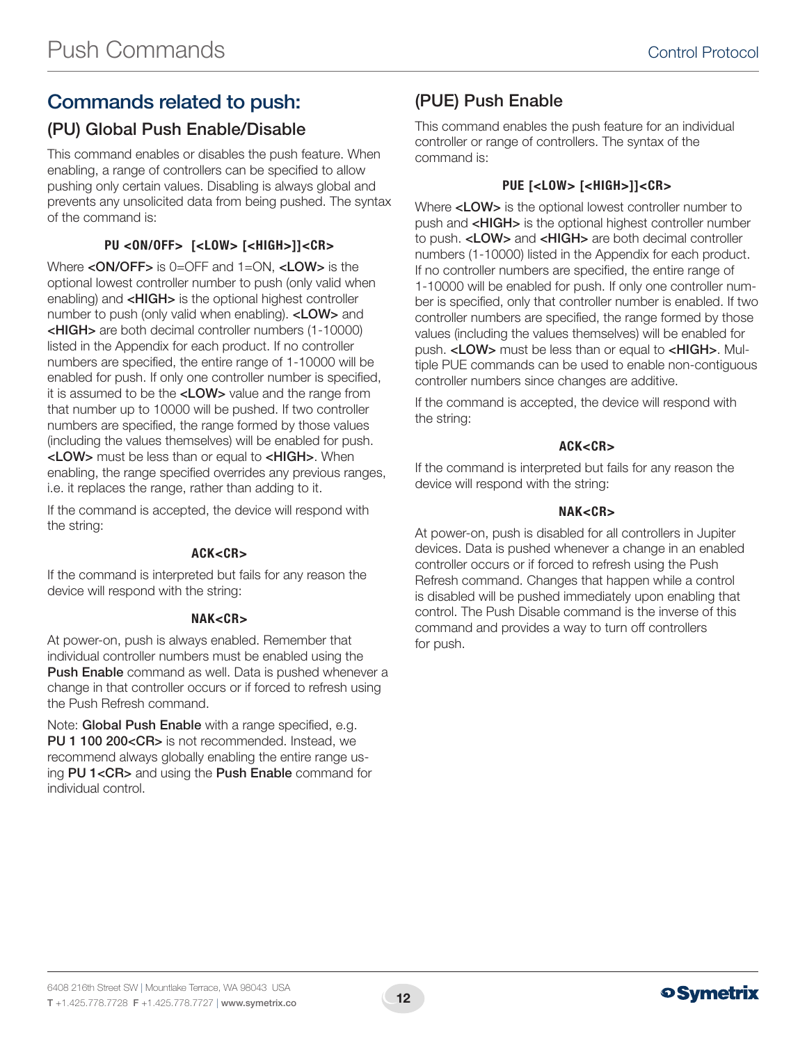# Commands related to push:

## (PU) Global Push Enable/Disable

This command enables or disables the push feature. When enabling, a range of controllers can be specified to allow pushing only certain values. Disabling is always global and prevents any unsolicited data from being pushed. The syntax of the command is:

### PU <ON/OFF> [<LOW> [<HIGH>]]<CR>

Where <**ON/OFF>** is 0=OFF and 1=ON, <**LOW>** is the optional lowest controller number to push (only valid when enabling) and <HIGH> is the optional highest controller number to push (only valid when enabling). <LOW> and <HIGH> are both decimal controller numbers (1-10000) listed in the Appendix for each product. If no controller numbers are specified, the entire range of 1-10000 will be enabled for push. If only one controller number is specified, it is assumed to be the <LOW> value and the range from that number up to 10000 will be pushed. If two controller numbers are specified, the range formed by those values (including the values themselves) will be enabled for push. <LOW> must be less than or equal to <HIGH>. When enabling, the range specified overrides any previous ranges, i.e. it replaces the range, rather than adding to it.

If the command is accepted, the device will respond with the string:

#### ACK<CR>

If the command is interpreted but fails for any reason the device will respond with the string:

#### NAK<CR>

At power-on, push is always enabled. Remember that individual controller numbers must be enabled using the Push Enable command as well. Data is pushed whenever a change in that controller occurs or if forced to refresh using the Push Refresh command.

Note: Global Push Enable with a range specified, e.g. PU 1 100 200<CR> is not recommended. Instead, we recommend always globally enabling the entire range using PU 1<CR> and using the Push Enable command for individual control.

# (PUE) Push Enable

This command enables the push feature for an individual controller or range of controllers. The syntax of the command is:

### PUE [<LOW> [<HIGH>]]<CR>

Where <LOW> is the optional lowest controller number to push and <HIGH> is the optional highest controller number to push. <LOW> and <HIGH> are both decimal controller numbers (1-10000) listed in the Appendix for each product. If no controller numbers are specified, the entire range of 1-10000 will be enabled for push. If only one controller number is specified, only that controller number is enabled. If two controller numbers are specified, the range formed by those values (including the values themselves) will be enabled for push. <LOW> must be less than or equal to <HIGH>. Multiple PUE commands can be used to enable non-contiguous controller numbers since changes are additive.

If the command is accepted, the device will respond with the string:

#### ACK<CR>

If the command is interpreted but fails for any reason the device will respond with the string:

#### NAK<CR>

At power-on, push is disabled for all controllers in Jupiter devices. Data is pushed whenever a change in an enabled controller occurs or if forced to refresh using the Push Refresh command. Changes that happen while a control is disabled will be pushed immediately upon enabling that control. The Push Disable command is the inverse of this command and provides a way to turn off controllers for push.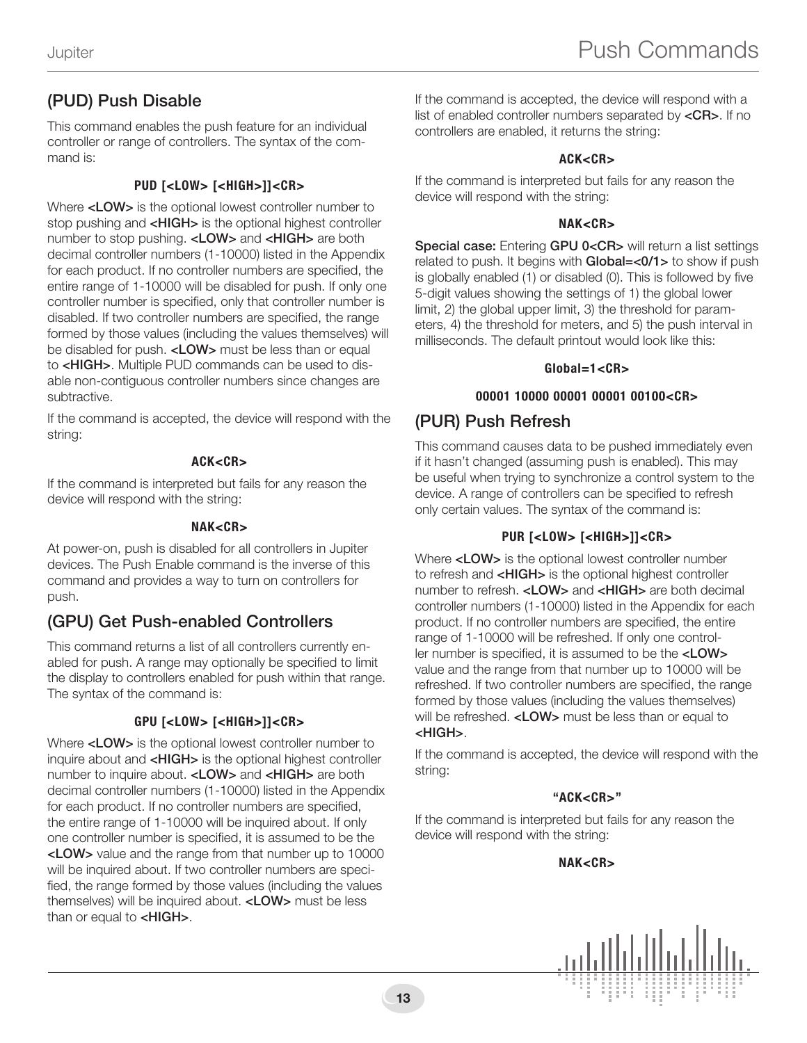# (PUD) Push Disable

This command enables the push feature for an individual controller or range of controllers. The syntax of the command is:

#### PUD [<LOW> [<HIGH>]]<CR>

Where <LOW> is the optional lowest controller number to stop pushing and <**HIGH**> is the optional highest controller number to stop pushing. <LOW> and <HIGH> are both decimal controller numbers (1-10000) listed in the Appendix for each product. If no controller numbers are specified, the entire range of 1-10000 will be disabled for push. If only one controller number is specified, only that controller number is disabled. If two controller numbers are specified, the range formed by those values (including the values themselves) will be disabled for push. <LOW> must be less than or equal to <HIGH>. Multiple PUD commands can be used to disable non-contiguous controller numbers since changes are subtractive.

If the command is accepted, the device will respond with the string:

#### ACK<CR>

If the command is interpreted but fails for any reason the device will respond with the string:

#### NAK<CR>

At power-on, push is disabled for all controllers in Jupiter devices. The Push Enable command is the inverse of this command and provides a way to turn on controllers for push.

# (GPU) Get Push-enabled Controllers

This command returns a list of all controllers currently enabled for push. A range may optionally be specified to limit the display to controllers enabled for push within that range. The syntax of the command is:

### GPU [<LOW> [<HIGH>]]<CR>

Where <LOW> is the optional lowest controller number to inquire about and <HIGH> is the optional highest controller number to inquire about. <LOW> and <HIGH> are both decimal controller numbers (1-10000) listed in the Appendix for each product. If no controller numbers are specified, the entire range of 1-10000 will be inquired about. If only one controller number is specified, it is assumed to be the <LOW> value and the range from that number up to 10000 will be inquired about. If two controller numbers are specified, the range formed by those values (including the values themselves) will be inquired about. <LOW> must be less than or equal to <HIGH>.

If the command is accepted, the device will respond with a list of enabled controller numbers separated by <CR>. If no controllers are enabled, it returns the string:

#### ACK<CR>

If the command is interpreted but fails for any reason the device will respond with the string:

#### NAK<CR>

Special case: Entering GPU 0<CR> will return a list settings related to push. It begins with **Global=<0/1>** to show if push is globally enabled (1) or disabled (0). This is followed by five 5-digit values showing the settings of 1) the global lower limit, 2) the global upper limit, 3) the threshold for parameters, 4) the threshold for meters, and 5) the push interval in milliseconds. The default printout would look like this:

#### Global=1<CR>

#### 00001 10000 00001 00001 00100<CR>

### (PUR) Push Refresh

This command causes data to be pushed immediately even if it hasn't changed (assuming push is enabled). This may be useful when trying to synchronize a control system to the device. A range of controllers can be specified to refresh only certain values. The syntax of the command is:

#### PUR [<LOW> [<HIGH>]]<CR>

Where <LOW> is the optional lowest controller number to refresh and <**HIGH**> is the optional highest controller number to refresh. <LOW> and <HIGH> are both decimal controller numbers (1-10000) listed in the Appendix for each product. If no controller numbers are specified, the entire range of 1-10000 will be refreshed. If only one controller number is specified, it is assumed to be the <LOW> value and the range from that number up to 10000 will be refreshed. If two controller numbers are specified, the range formed by those values (including the values themselves) will be refreshed. <LOW> must be less than or equal to <HIGH>.

If the command is accepted, the device will respond with the string:

#### "ACK<CR>"

If the command is interpreted but fails for any reason the device will respond with the string:

#### NAK<CR>

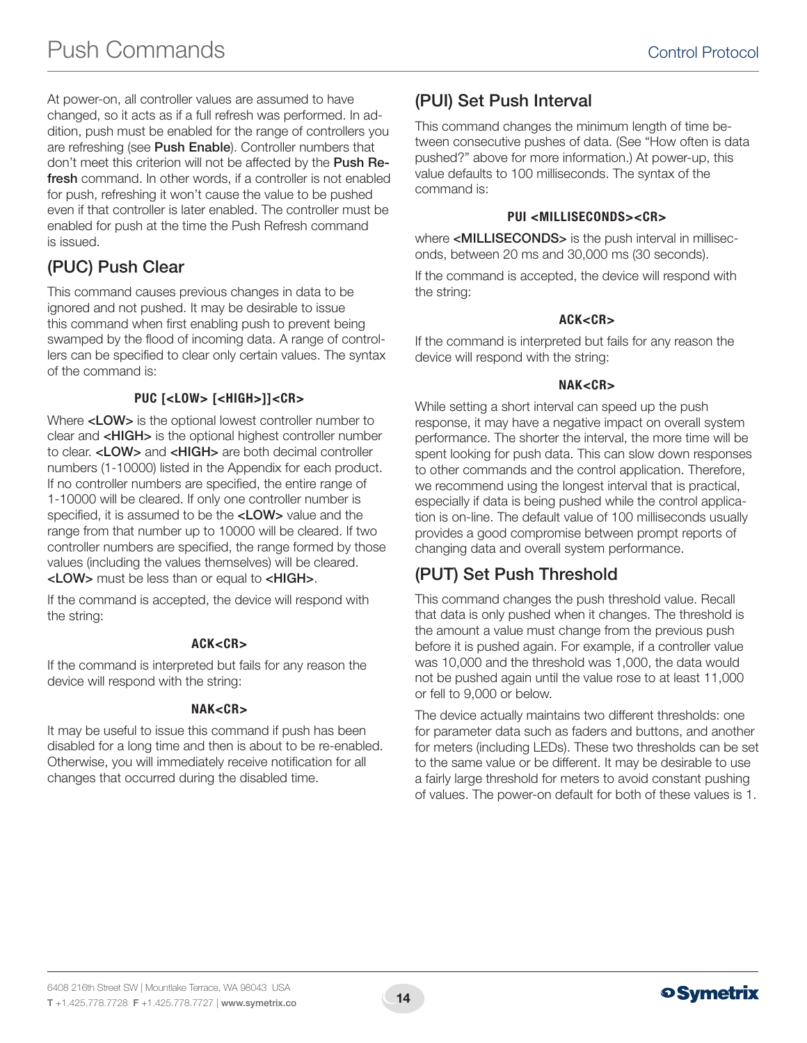At power-on, all controller values are assumed to have changed, so it acts as if a full refresh was performed. In addition, push must be enabled for the range of controllers you are refreshing (see Push Enable). Controller numbers that don't meet this criterion will not be affected by the Push Refresh command. In other words, if a controller is not enabled for push, refreshing it won't cause the value to be pushed even if that controller is later enabled. The controller must be enabled for push at the time the Push Refresh command is issued.

# (PUC) Push Clear

This command causes previous changes in data to be ignored and not pushed. It may be desirable to issue this command when first enabling push to prevent being swamped by the flood of incoming data. A range of controllers can be specified to clear only certain values. The syntax of the command is:

### PUC [<LOW> [<HIGH>]]<CR>

Where <LOW> is the optional lowest controller number to clear and <HIGH> is the optional highest controller number to clear. <LOW> and <HIGH> are both decimal controller numbers (1-10000) listed in the Appendix for each product. If no controller numbers are specified, the entire range of 1-10000 will be cleared. If only one controller number is specified, it is assumed to be the <LOW> value and the range from that number up to 10000 will be cleared. If two controller numbers are specified, the range formed by those values (including the values themselves) will be cleared. <LOW> must be less than or equal to <HIGH>.

If the command is accepted, the device will respond with the string:

### ACK<CR>

If the command is interpreted but fails for any reason the device will respond with the string:

#### NAK<CR>

It may be useful to issue this command if push has been disabled for a long time and then is about to be re-enabled. Otherwise, you will immediately receive notification for all changes that occurred during the disabled time.

# (PUI) Set Push Interval

This command changes the minimum length of time between consecutive pushes of data. (See "How often is data pushed?" above for more information.) At power-up, this value defaults to 100 milliseconds. The syntax of the command is:

#### PUI <MILLISECONDS><CR>

where <MILLISECONDS> is the push interval in milliseconds, between 20 ms and 30,000 ms (30 seconds).

If the command is accepted, the device will respond with the string:

#### ACK<CR>

If the command is interpreted but fails for any reason the device will respond with the string:

#### NAK<CR>

While setting a short interval can speed up the push response, it may have a negative impact on overall system performance. The shorter the interval, the more time will be spent looking for push data. This can slow down responses to other commands and the control application. Therefore, we recommend using the longest interval that is practical, especially if data is being pushed while the control application is on-line. The default value of 100 milliseconds usually provides a good compromise between prompt reports of changing data and overall system performance.

# (PUT) Set Push Threshold

This command changes the push threshold value. Recall that data is only pushed when it changes. The threshold is the amount a value must change from the previous push before it is pushed again. For example, if a controller value was 10,000 and the threshold was 1,000, the data would not be pushed again until the value rose to at least 11,000 or fell to 9,000 or below.

The device actually maintains two different thresholds: one for parameter data such as faders and buttons, and another for meters (including LEDs). These two thresholds can be set to the same value or be different. It may be desirable to use a fairly large threshold for meters to avoid constant pushing of values. The power-on default for both of these values is 1.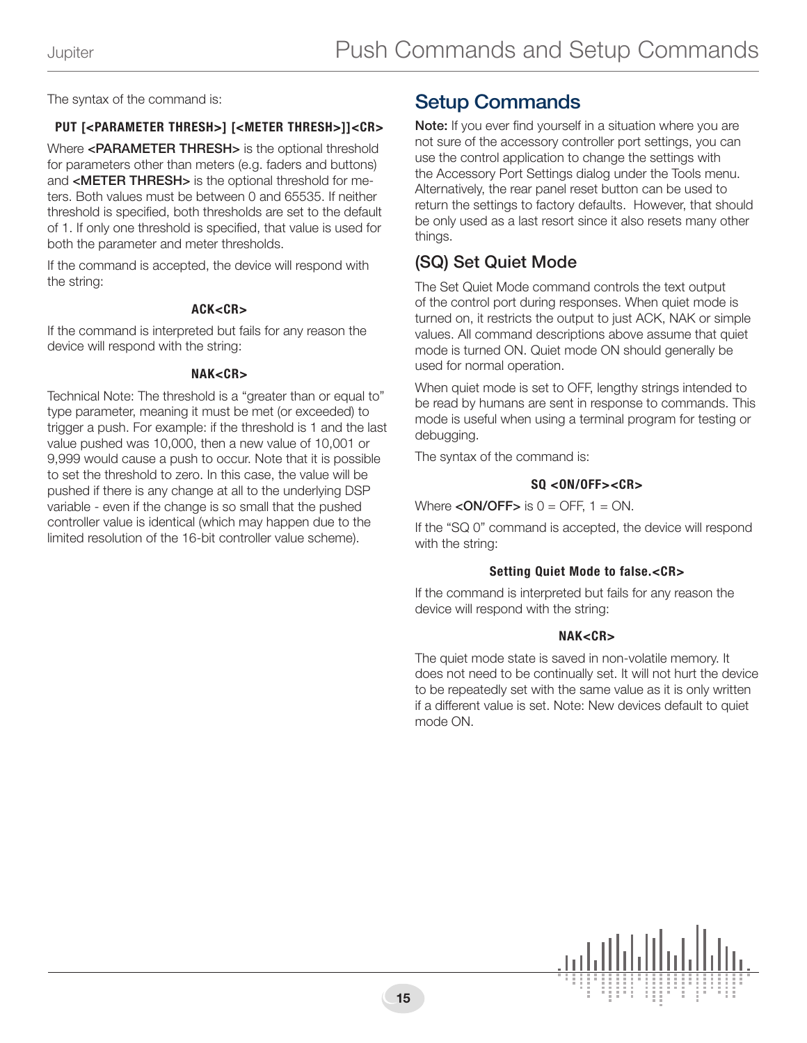The syntax of the command is:

### PUT [<PARAMETER THRESH>] [<METER THRESH>]]<CR>

Where <PARAMETER THRESH> is the optional threshold for parameters other than meters (e.g. faders and buttons) and <METER THRESH> is the optional threshold for meters. Both values must be between 0 and 65535. If neither threshold is specified, both thresholds are set to the default of 1. If only one threshold is specified, that value is used for both the parameter and meter thresholds.

If the command is accepted, the device will respond with the string:

#### ACK<CR>

If the command is interpreted but fails for any reason the device will respond with the string:

#### NAK<CR>

Technical Note: The threshold is a "greater than or equal to" type parameter, meaning it must be met (or exceeded) to trigger a push. For example: if the threshold is 1 and the last value pushed was 10,000, then a new value of 10,001 or 9,999 would cause a push to occur. Note that it is possible to set the threshold to zero. In this case, the value will be pushed if there is any change at all to the underlying DSP variable - even if the change is so small that the pushed controller value is identical (which may happen due to the limited resolution of the 16-bit controller value scheme).

# Setup Commands

Note: If you ever find yourself in a situation where you are not sure of the accessory controller port settings, you can use the control application to change the settings with the Accessory Port Settings dialog under the Tools menu. Alternatively, the rear panel reset button can be used to return the settings to factory defaults. However, that should be only used as a last resort since it also resets many other things.

### (SQ) Set Quiet Mode

The Set Quiet Mode command controls the text output of the control port during responses. When quiet mode is turned on, it restricts the output to just ACK, NAK or simple values. All command descriptions above assume that quiet mode is turned ON. Quiet mode ON should generally be used for normal operation.

When quiet mode is set to OFF, lengthy strings intended to be read by humans are sent in response to commands. This mode is useful when using a terminal program for testing or debugging.

The syntax of the command is:

#### $SO < 0N/OFF > < CP$

Where  $\langle ON/OFF\rangle$  is  $0 = OFF$ ,  $1 = ON$ .

If the "SQ 0" command is accepted, the device will respond with the string:

#### Setting Quiet Mode to false.<CR>

If the command is interpreted but fails for any reason the device will respond with the string:

#### NAK<CR>

The quiet mode state is saved in non-volatile memory. It does not need to be continually set. It will not hurt the device to be repeatedly set with the same value as it is only written if a different value is set. Note: New devices default to quiet mode ON.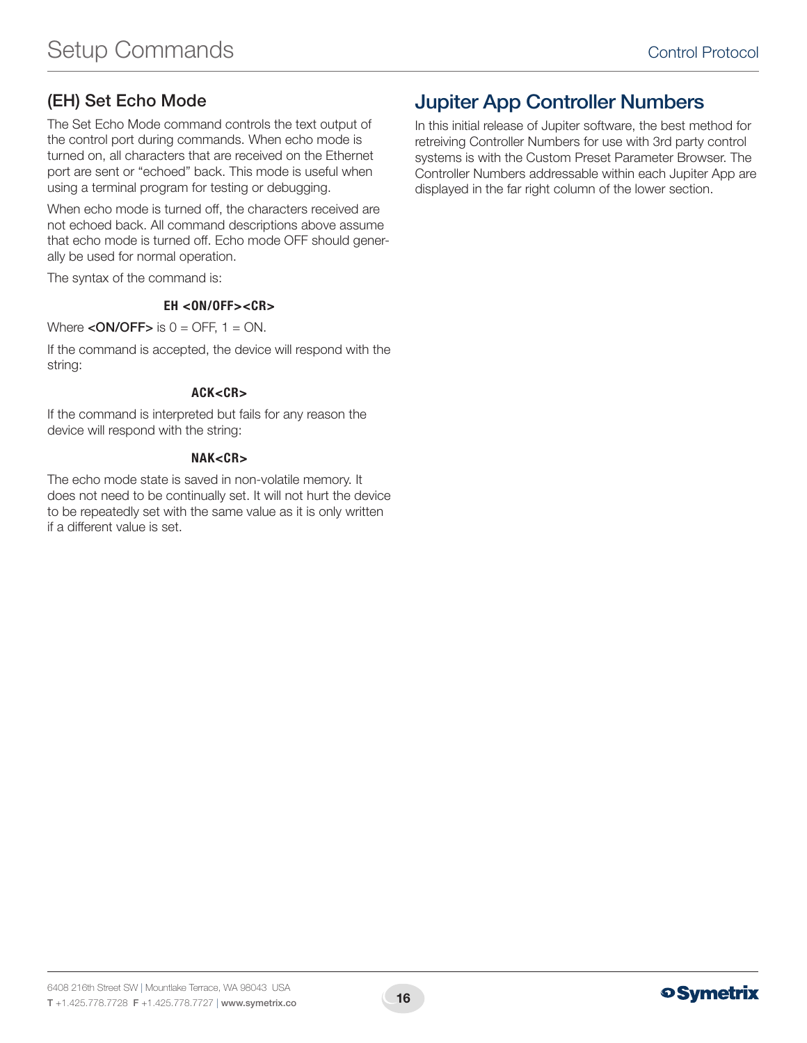# (EH) Set Echo Mode

The Set Echo Mode command controls the text output of the control port during commands. When echo mode is turned on, all characters that are received on the Ethernet port are sent or "echoed" back. This mode is useful when using a terminal program for testing or debugging.

When echo mode is turned off, the characters received are not echoed back. All command descriptions above assume that echo mode is turned off. Echo mode OFF should generally be used for normal operation.

The syntax of the command is:

#### EH <ON/OFF><CR>

#### Where  $\leq$  ON/OFF $>$  is 0 = OFF, 1 = ON.

If the command is accepted, the device will respond with the string:

#### ACK<CR>

If the command is interpreted but fails for any reason the device will respond with the string:

#### NAK<CR>

The echo mode state is saved in non-volatile memory. It does not need to be continually set. It will not hurt the device to be repeatedly set with the same value as it is only written if a different value is set.

# Jupiter App Controller Numbers

In this initial release of Jupiter software, the best method for retreiving Controller Numbers for use with 3rd party control systems is with the Custom Preset Parameter Browser. The Controller Numbers addressable within each Jupiter App are displayed in the far right column of the lower section.

# **o Symetrix**